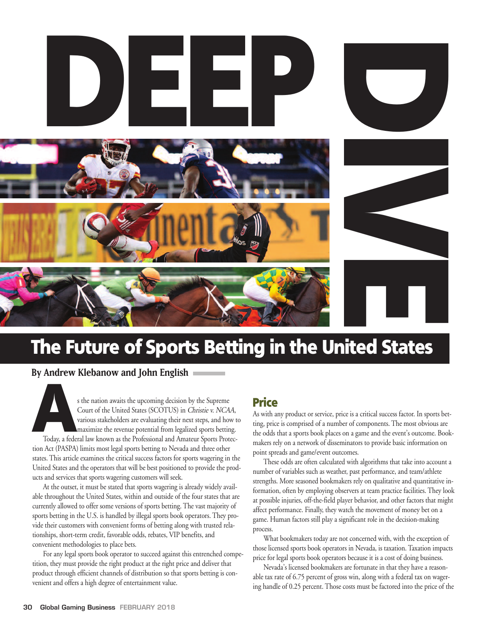

# **The Future of Sports Betting in the United States**

**By Andrew Klebanow and John English**

**A**<sup>s</sup> the nation awaits the upcoming decision by the Supreme Court of the United States (SCOTUS) in Christie v. NCAA, various stakeholders are evaluating their next steps, and how to maximize the revenue potential from legalized sports betting. Today, a federal law known as the Professional and Amateur Sports Protection Act (PASPA) limits most legal sports betting to Nevada and three other states. This article examines the critical success factors for sports wagering in the United States and the operators that will be best positioned to provide the products and services that sports wagering customers will seek.

At the outset, it must be stated that sports wagering is already widely available throughout the United States, within and outside of the four states that are currently allowed to offer some versions of sports betting. The vast majority of sports betting in the U.S. is handled by illegal sports book operators. They provide their customers with convenient forms of betting along with trusted relationships, short-term credit, favorable odds, rebates, VIP benefits, and convenient methodologies to place bets.

For any legal sports book operator to succeed against this entrenched competition, they must provide the right product at the right price and deliver that product through efficient channels of distribution so that sports betting is convenient and offers a high degree of entertainment value.

# **Price**

As with any product or service, price is a critical success factor. In sports betting, price is comprised of a number of components. The most obvious are the odds that a sports book places on a game and the event's outcome. Bookmakers rely on a network of disseminators to provide basic information on point spreads and game/event outcomes.

These odds are often calculated with algorithms that take into account a number of variables such as weather, past performance, and team/athlete strengths. More seasoned bookmakers rely on qualitative and quantitative information, often by employing observers at team practice facilities. They look at possible injuries, off-the-field player behavior, and other factors that might affect performance. Finally, they watch the movement of money bet on a game. Human factors still play a significant role in the decision-making process.

What bookmakers today are not concerned with, with the exception of those licensed sports book operators in Nevada, is taxation. Taxation impacts price for legal sports book operators because it is a cost of doing business.

Nevada's licensed bookmakers are fortunate in that they have a reasonable tax rate of 6.75 percent of gross win, along with a federal tax on wagering handle of 0.25 percent. Those costs must be factored into the price of the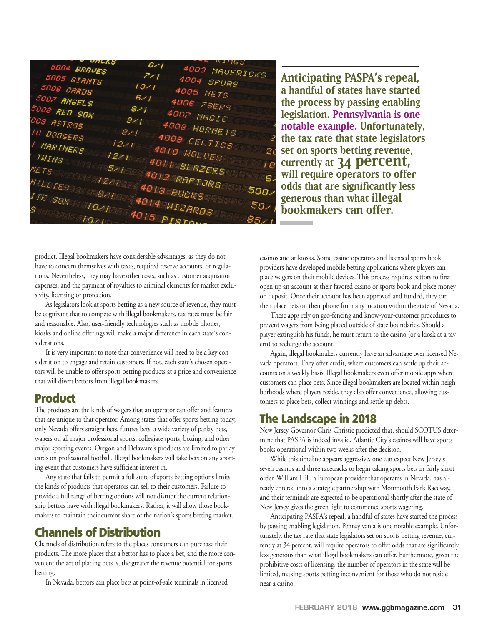$4003$  $\overline{z_1}$  $4004$  $1021$  $4005$ 4006 26 4008 HORNET 4009 CEL 4010 WOLVES 4011 BLAZERS ETS 4012 RAPTORS Ë 4013 BUCKS TE  $SOx$ 

**Anticipating PASPA's repeal, a handful of states have started the process by passing enabling legislation. Pennsylvania is one notable example. Unfortunately, the tax rate that state legislators set on sports betting revenue, currently at 34 percent, will require operators to offer odds that are significantly less generous than what illegal bookmakers can offer.**

product. Illegal bookmakers have considerable advantages, as they do not have to concern themselves with taxes, required reserve accounts, or regulations. Nevertheless, they may have other costs, such as customer acquisition expenses, and the payment of royalties to criminal elements for market exclusivity, licensing or protection.

As legislators look at sports betting as a new source of revenue, they must be cognizant that to compete with illegal bookmakers, tax rates must be fair and reasonable. Also, user-friendly technologies such as mobile phones, kiosks and online offerings will make a major difference in each state's considerations.

It is very important to note that convenience will need to be a key consideration to engage and retain customers. If not, each state's chosen operators will be unable to offer sports betting products at a price and convenience that will divert bettors from illegal bookmakers.

### **Product**

The products are the kinds of wagers that an operator can offer and features that are unique to that operator. Among states that offer sports betting today, only Nevada offers straight bets, futures bets, a wide variety of parlay bets, wagers on all major professional sports, collegiate sports, boxing, and other major sporting events. Oregon and Delaware's products are limited to parlay cards on professional football. Illegal bookmakers will take bets on any sporting event that customers have sufficient interest in.

Any state that fails to permit a full suite of sports betting options limits the kinds of products that operators can sell to their customers. Failure to provide a full range of betting options will not disrupt the current relationship bettors have with illegal bookmakers. Rather, it will allow those bookmakers to maintain their current share of the nation's sports betting market.

## **Channels of Distribution**

Channels of distribution refers to the places consumers can purchase their products. The more places that a bettor has to place a bet, and the more convenient the act of placing bets is, the greater the revenue potential for sports betting.

In Nevada, bettors can place bets at point-of-sale terminals in licensed

casinos and at kiosks. Some casino operators and licensed sports book providers have developed mobile betting applications where players can place wagers on their mobile devices. This process requires bettors to first open up an account at their favored casino or sports book and place money on deposit. Once their account has been approved and funded, they can then place bets on their phone from any location within the state of Nevada.

These apps rely on geo-fencing and know-your-customer procedures to prevent wagers from being placed outside of state boundaries. Should a player extinguish his funds, he must return to the casino (or a kiosk at a tavern) to recharge the account.

Again, illegal bookmakers currently have an advantage over licensed Nevada operators. They offer credit, where customers can settle up their accounts on a weekly basis. Illegal bookmakers even offer mobile apps where customers can place bets. Since illegal bookmakers are located within neighborhoods where players reside, they also offer convenience, allowing customers to place bets, collect winnings and settle up debts.

## **The Landscape in 2018**

New Jersey Governor Chris Christie predicted that, should SCOTUS determine that PASPA is indeed invalid, Atlantic City's casinos will have sports books operational within two weeks after the decision.

While this timeline appears aggressive, one can expect New Jersey's seven casinos and three racetracks to begin taking sports bets in fairly short order. William Hill, a European provider that operates in Nevada, has already entered into a strategic partnership with Monmouth Park Raceway, and their terminals are expected to be operational shortly after the state of New Jersey gives the green light to commence sports wagering.

Anticipating PASPA's repeal, a handful of states have started the process by passing enabling legislation. Pennsylvania is one notable example. Unfortunately, the tax rate that state legislators set on sports betting revenue, currently at 34 percent, will require operators to offer odds that are significantly less generous than what illegal bookmakers can offer. Furthermore, given the prohibitive costs of licensing, the number of operators in the state will be limited, making sports betting inconvenient for those who do not reside near a casino.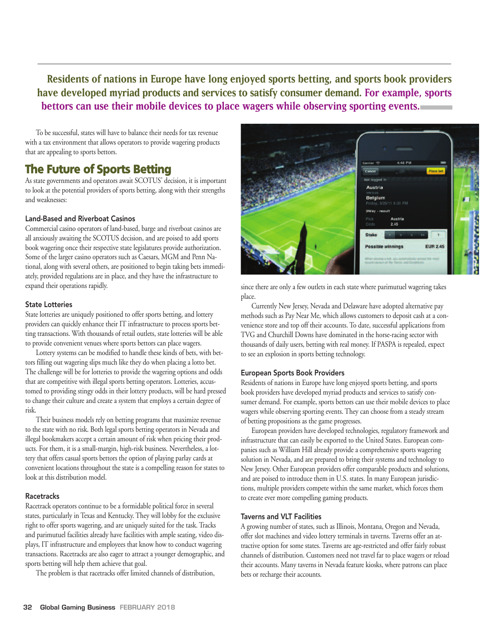**Residents of nations in Europe have long enjoyed sports betting, and sports book providers have developed myriad products and services to satisfy consumer demand. For example, sports bettors can use their mobile devices to place wagers while observing sporting events.**

To be successful, states will have to balance their needs for tax revenue with a tax environment that allows operators to provide wagering products that are appealing to sports bettors.

## **The Future of Sports Betting**

As state governments and operators await SCOTUS' decision, it is important to look at the potential providers of sports betting, along with their strengths and weaknesses:

#### Land-Based and Riverboat Casinos

Commercial casino operators of land-based, barge and riverboat casinos are all anxiously awaiting the SCOTUS decision, and are poised to add sports book wagering once their respective state legislatures provide authorization. Some of the larger casino operators such as Caesars, MGM and Penn National, along with several others, are positioned to begin taking bets immediately, provided regulations are in place, and they have the infrastructure to expand their operations rapidly.

#### State Lotteries

State lotteries are uniquely positioned to offer sports betting, and lottery providers can quickly enhance their IT infrastructure to process sports betting transactions. With thousands of retail outlets, state lotteries will be able to provide convenient venues where sports bettors can place wagers.

Lottery systems can be modified to handle these kinds of bets, with bettors filling out wagering slips much like they do when placing a lotto bet. The challenge will be for lotteries to provide the wagering options and odds that are competitive with illegal sports betting operators. Lotteries, accustomed to providing stingy odds in their lottery products, will be hard pressed to change their culture and create a system that employs a certain degree of risk.

Their business models rely on betting programs that maximize revenue to the state with no risk. Both legal sports betting operators in Nevada and illegal bookmakers accept a certain amount of risk when pricing their products. For them, it is a small-margin, high-risk business. Nevertheless, a lottery that offers casual sports bettors the option of playing parlay cards at convenient locations throughout the state is a compelling reason for states to look at this distribution model.

#### **Racetracks**

Racetrack operators continue to be a formidable political force in several states, particularly in Texas and Kentucky. They will lobby for the exclusive right to offer sports wagering, and are uniquely suited for the task. Tracks and parimutuel facilities already have facilities with ample seating, video displays, IT infrastructure and employees that know how to conduct wagering transactions. Racetracks are also eager to attract a younger demographic, and sports betting will help them achieve that goal.

The problem is that racetracks offer limited channels of distribution,



since there are only a few outlets in each state where parimutuel wagering takes place.

Currently New Jersey, Nevada and Delaware have adopted alternative pay methods such as Pay Near Me, which allows customers to deposit cash at a convenience store and top off their accounts. To date, successful applications from TVG and Churchill Downs have dominated in the horse-racing sector with thousands of daily users, betting with real money. If PASPA is repealed, expect to see an explosion in sports betting technology.

#### European Sports Book Providers

Residents of nations in Europe have long enjoyed sports betting, and sports book providers have developed myriad products and services to satisfy consumer demand. For example, sports bettors can use their mobile devices to place wagers while observing sporting events. They can choose from a steady stream of betting propositions as the game progresses.

European providers have developed technologies, regulatory framework and infrastructure that can easily be exported to the United States. European companies such as William Hill already provide a comprehensive sports wagering solution in Nevada, and are prepared to bring their systems and technology to New Jersey. Other European providers offer comparable products and solutions, and are poised to introduce them in U.S. states. In many European jurisdictions, multiple providers compete within the same market, which forces them to create ever more compelling gaming products.

#### Taverns and VLT Facilities

A growing number of states, such as Illinois, Montana, Oregon and Nevada, offer slot machines and video lottery terminals in taverns. Taverns offer an attractive option for some states. Taverns are age-restricted and offer fairly robust channels of distribution. Customers need not travel far to place wagers or reload their accounts. Many taverns in Nevada feature kiosks, where patrons can place bets or recharge their accounts.